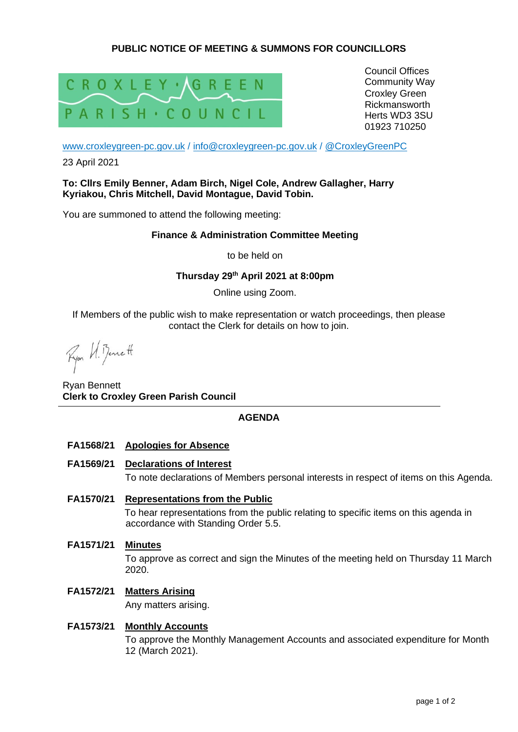# **PUBLIC NOTICE OF MEETING & SUMMONS FOR COUNCILLORS**



Council Offices Community Way Croxley Green Rickmansworth Herts WD3 3SU 01923 710250

[www.croxleygreen-pc.gov.uk](http://www.croxleygreen-pc.gov.uk/) / [info@croxleygreen-pc.gov.uk](mailto:info@croxleygreen-pc.gov.uk) / [@CroxleyGreenPC](https://twitter.com/CroxleyGreenPC)

23 April 2021

### **To: Cllrs Emily Benner, Adam Birch, Nigel Cole, Andrew Gallagher, Harry Kyriakou, Chris Mitchell, David Montague, David Tobin.**

You are summoned to attend the following meeting:

### **Finance & Administration Committee Meeting**

to be held on

### **Thursday 29th April 2021 at 8:00pm**

Online using Zoom.

If Members of the public wish to make representation or watch proceedings, then please contact the Clerk for details on how to join.

Ryon U. Benett

Ryan Bennett **Clerk to Croxley Green Parish Council**

## **AGENDA**

- **FA1568/21 Apologies for Absence**
- **FA1569/21 Declarations of Interest**

To note declarations of Members personal interests in respect of items on this Agenda.

# **FA1570/21 Representations from the Public**

To hear representations from the public relating to specific items on this agenda in accordance with Standing Order 5.5.

**FA1571/21 Minutes**

To approve as correct and sign the Minutes of the meeting held on Thursday 11 March 2020.

# **FA1572/21 Matters Arising**

Any matters arising.

## **FA1573/21 Monthly Accounts**

To approve the Monthly Management Accounts and associated expenditure for Month 12 (March 2021).